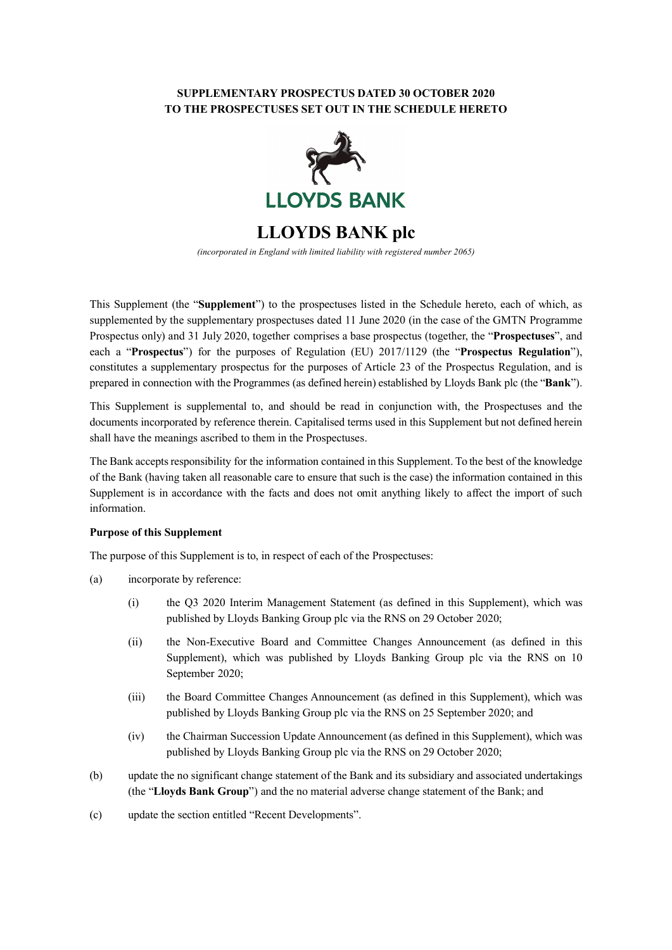# **SUPPLEMENTARY PROSPECTUS DATED 30 OCTOBER 2020 TO THE PROSPECTUSES SET OUT IN THE SCHEDULE HERETO**



**LLOYDS BANK plc**

*(incorporated in England with limited liability with registered number 2065)*

This Supplement (the "**Supplement**") to the prospectuses listed in the Schedule hereto, each of which, as supplemented by the supplementary prospectuses dated 11 June 2020 (in the case of the GMTN Programme Prospectus only) and 31 July 2020, together comprises a base prospectus (together, the "**Prospectuses**", and each a "**Prospectus**") for the purposes of Regulation (EU) 2017/1129 (the "**Prospectus Regulation**"), constitutes a supplementary prospectus for the purposes of Article 23 of the Prospectus Regulation, and is prepared in connection with the Programmes (as defined herein) established by Lloyds Bank plc (the "**Bank**").

This Supplement is supplemental to, and should be read in conjunction with, the Prospectuses and the documents incorporated by reference therein. Capitalised terms used in this Supplement but not defined herein shall have the meanings ascribed to them in the Prospectuses.

The Bank accepts responsibility for the information contained in this Supplement. To the best of the knowledge of the Bank (having taken all reasonable care to ensure that such is the case) the information contained in this Supplement is in accordance with the facts and does not omit anything likely to affect the import of such information.

#### **Purpose of this Supplement**

The purpose of this Supplement is to, in respect of each of the Prospectuses:

- (a) incorporate by reference:
	- (i) the Q3 2020 Interim Management Statement (as defined in this Supplement), which was published by Lloyds Banking Group plc via the RNS on 29 October 2020;
	- (ii) the Non-Executive Board and Committee Changes Announcement (as defined in this Supplement), which was published by Lloyds Banking Group plc via the RNS on 10 September 2020;
	- (iii) the Board Committee Changes Announcement (as defined in this Supplement), which was published by Lloyds Banking Group plc via the RNS on 25 September 2020; and
	- (iv) the Chairman Succession Update Announcement (as defined in this Supplement), which was published by Lloyds Banking Group plc via the RNS on 29 October 2020;
- (b) update the no significant change statement of the Bank and its subsidiary and associated undertakings (the "**Lloyds Bank Group**") and the no material adverse change statement of the Bank; and
- (c) update the section entitled "Recent Developments".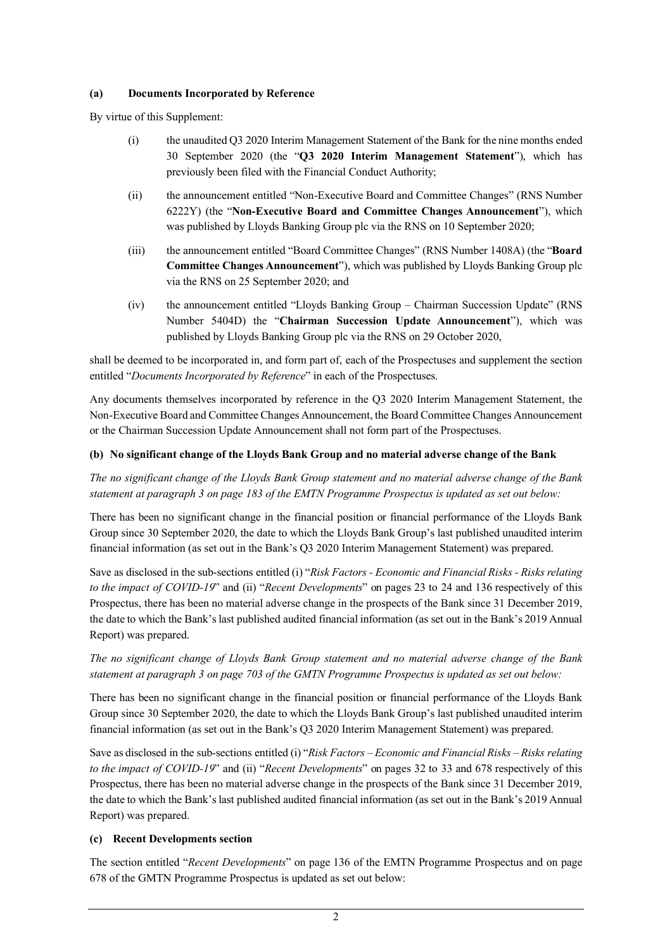### **(a) Documents Incorporated by Reference**

By virtue of this Supplement:

- (i) the unaudited Q3 2020 Interim Management Statement of the Bank for the nine months ended 30 September 2020 (the "**Q3 2020 Interim Management Statement**"), which has previously been filed with the Financial Conduct Authority;
- (ii) the announcement entitled "Non-Executive Board and Committee Changes" (RNS Number 6222Y) (the "**Non-Executive Board and Committee Changes Announcement**"), which was published by Lloyds Banking Group plc via the RNS on 10 September 2020;
- (iii) the announcement entitled "Board Committee Changes" (RNS Number 1408A) (the "**Board Committee Changes Announcement**"), which was published by Lloyds Banking Group plc via the RNS on 25 September 2020; and
- (iv) the announcement entitled "Lloyds Banking Group Chairman Succession Update" (RNS Number 5404D) the "**Chairman Succession Update Announcement**"), which was published by Lloyds Banking Group plc via the RNS on 29 October 2020,

shall be deemed to be incorporated in, and form part of, each of the Prospectuses and supplement the section entitled "*Documents Incorporated by Reference*" in each of the Prospectuses.

Any documents themselves incorporated by reference in the Q3 2020 Interim Management Statement, the Non-Executive Board and Committee Changes Announcement, the Board Committee Changes Announcement or the Chairman Succession Update Announcement shall not form part of the Prospectuses.

### **(b) No significant change of the Lloyds Bank Group and no material adverse change of the Bank**

*The no significant change of the Lloyds Bank Group statement and no material adverse change of the Bank statement at paragraph 3 on page 183 of the EMTN Programme Prospectus is updated as set out below:*

There has been no significant change in the financial position or financial performance of the Lloyds Bank Group since 30 September 2020, the date to which the Lloyds Bank Group's last published unaudited interim financial information (as set out in the Bank's Q3 2020 Interim Management Statement) was prepared.

Save as disclosed in the sub-sections entitled (i) "*Risk Factors - Economic and Financial Risks - Risks relating to the impact of COVID-19*" and (ii) "*Recent Developments*" on pages 23 to 24 and 136 respectively of this Prospectus, there has been no material adverse change in the prospects of the Bank since 31 December 2019, the date to which the Bank's last published audited financial information (as set out in the Bank's 2019 Annual Report) was prepared.

# *The no significant change of Lloyds Bank Group statement and no material adverse change of the Bank statement at paragraph 3 on page 703 of the GMTN Programme Prospectus is updated as set out below:*

There has been no significant change in the financial position or financial performance of the Lloyds Bank Group since 30 September 2020, the date to which the Lloyds Bank Group's last published unaudited interim financial information (as set out in the Bank's Q3 2020 Interim Management Statement) was prepared.

Save as disclosed in the sub-sections entitled (i) "*Risk Factors – Economic and Financial Risks – Risks relating to the impact of COVID-19*" and (ii) "*Recent Developments*" on pages 32 to 33 and 678 respectively of this Prospectus, there has been no material adverse change in the prospects of the Bank since 31 December 2019, the date to which the Bank's last published audited financial information (as set out in the Bank's 2019 Annual Report) was prepared.

### **(c) Recent Developments section**

The section entitled "*Recent Developments*" on page 136 of the EMTN Programme Prospectus and on page 678 of the GMTN Programme Prospectus is updated as set out below: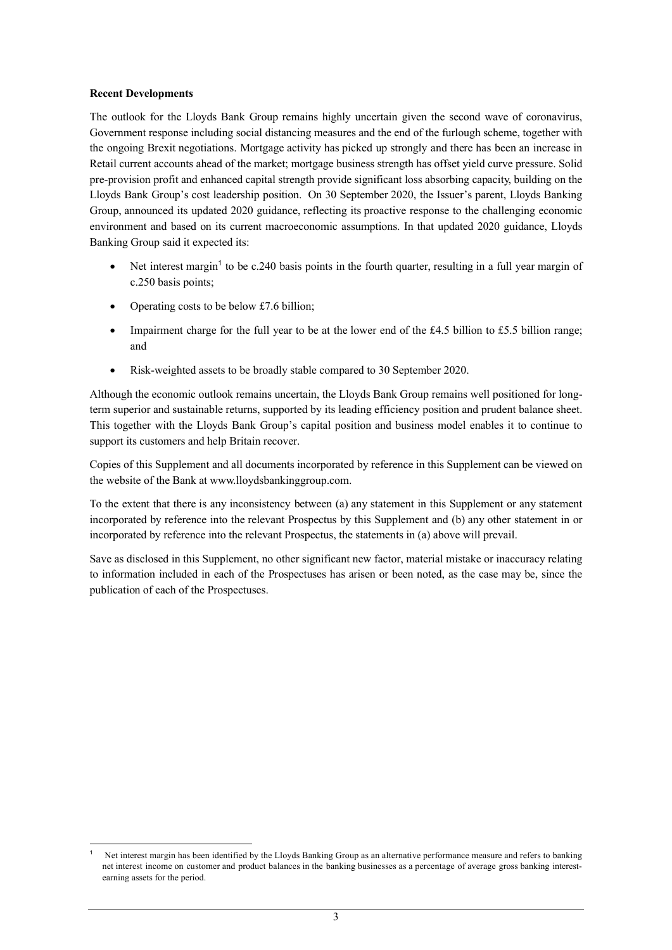#### **Recent Developments**

The outlook for the Lloyds Bank Group remains highly uncertain given the second wave of coronavirus, Government response including social distancing measures and the end of the furlough scheme, together with the ongoing Brexit negotiations. Mortgage activity has picked up strongly and there has been an increase in Retail current accounts ahead of the market; mortgage business strength has offset yield curve pressure. Solid pre-provision profit and enhanced capital strength provide significant loss absorbing capacity, building on the Lloyds Bank Group's cost leadership position. On 30 September 2020, the Issuer's parent, Lloyds Banking Group, announced its updated 2020 guidance, reflecting its proactive response to the challenging economic environment and based on its current macroeconomic assumptions. In that updated 2020 guidance, Lloyds Banking Group said it expected its:

- Net interest margin<sup>[1](#page-2-0)</sup> to be c.240 basis points in the fourth quarter, resulting in a full year margin of c.250 basis points;
- Operating costs to be below £7.6 billion;
- Impairment charge for the full year to be at the lower end of the £4.5 billion to £5.5 billion range; and
- Risk-weighted assets to be broadly stable compared to 30 September 2020.

Although the economic outlook remains uncertain, the Lloyds Bank Group remains well positioned for longterm superior and sustainable returns, supported by its leading efficiency position and prudent balance sheet. This together with the Lloyds Bank Group's capital position and business model enables it to continue to support its customers and help Britain recover.

Copies of this Supplement and all documents incorporated by reference in this Supplement can be viewed on the website of the Bank at www.lloydsbankinggroup.com.

To the extent that there is any inconsistency between (a) any statement in this Supplement or any statement incorporated by reference into the relevant Prospectus by this Supplement and (b) any other statement in or incorporated by reference into the relevant Prospectus, the statements in (a) above will prevail.

Save as disclosed in this Supplement, no other significant new factor, material mistake or inaccuracy relating to information included in each of the Prospectuses has arisen or been noted, as the case may be, since the publication of each of the Prospectuses.

<span id="page-2-0"></span>l <sup>1</sup> Net interest margin has been identified by the Lloyds Banking Group as an alternative performance measure and refers to banking net interest income on customer and product balances in the banking businesses as a percentage of average gross banking interestearning assets for the period.